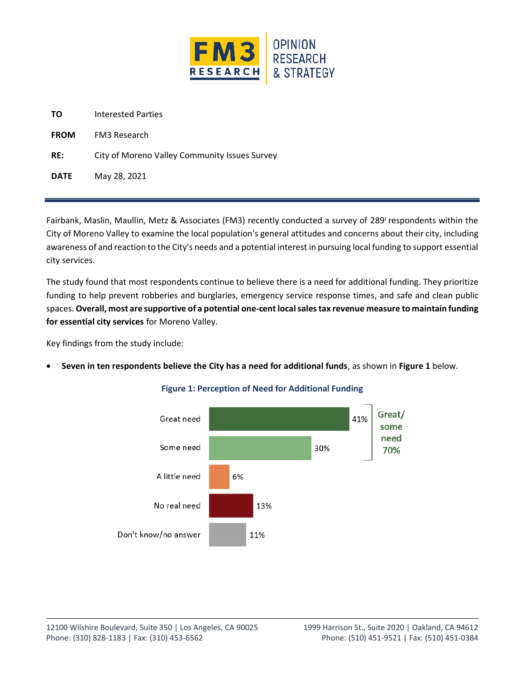

| City of Moreno Valley Community Issues Survey |
|-----------------------------------------------|
|                                               |
|                                               |

Fairbank, Maslin, Maullin, Metz & Associates (FM3) recently conducted a survey of 289<sup>i</sup> respondents within the City of Moreno Valley to examine the local population's general attitudes and concerns about their city, including awareness of and reaction to the City's needs and a potential interest in pursuing local funding to support essential city services.

The study found that most respondents continue to believe there is a need for additional funding. They prioritize funding to help prevent robberies and burglaries, emergency service response times, and safe and clean public spaces. **Overall, most are supportive of a potential one-cent local salestax revenue measure to maintain funding for essential city services** for Moreno Valley.

Key findings from the study include:

• **Seven in ten respondents believe the City has a need for additional funds**, as shown in **Figure 1** below.



## **Figure 1: Perception of Need for Additional Funding**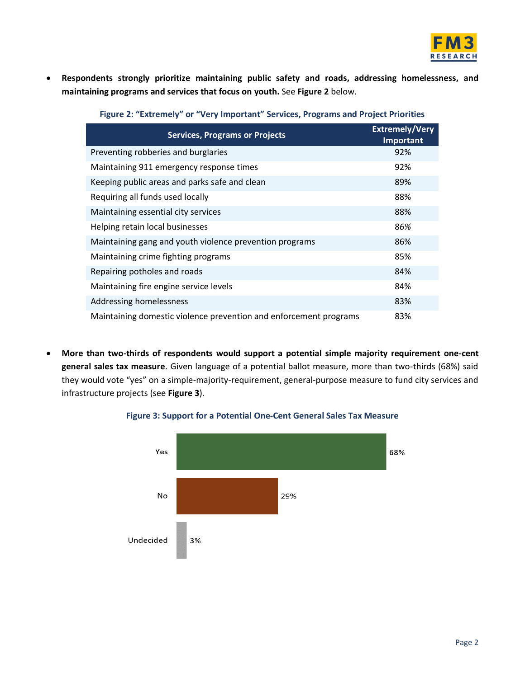

• **Respondents strongly prioritize maintaining public safety and roads, addressing homelessness, and maintaining programs and services that focus on youth.** See **Figure 2** below.

| <b>Services, Programs or Projects</b>                             | <b>Extremely/Very</b><br>Important |
|-------------------------------------------------------------------|------------------------------------|
| Preventing robberies and burglaries                               | 92%                                |
| Maintaining 911 emergency response times                          | 92%                                |
| Keeping public areas and parks safe and clean                     | 89%                                |
| Requiring all funds used locally                                  | 88%                                |
| Maintaining essential city services                               | 88%                                |
| Helping retain local businesses                                   | 86%                                |
| Maintaining gang and youth violence prevention programs           | 86%                                |
| Maintaining crime fighting programs                               | 85%                                |
| Repairing potholes and roads                                      | 84%                                |
| Maintaining fire engine service levels                            | 84%                                |
| Addressing homelessness                                           | 83%                                |
| Maintaining domestic violence prevention and enforcement programs | 83%                                |

• **More than two-thirds of respondents would support a potential simple majority requirement one-cent general sales tax measure**. Given language of a potential ballot measure, more than two-thirds (68%) said they would vote "yes" on a simple-majority-requirement, general-purpose measure to fund city services and infrastructure projects (see **Figure 3**).



## **Figure 3: Support for a Potential One-Cent General Sales Tax Measure**